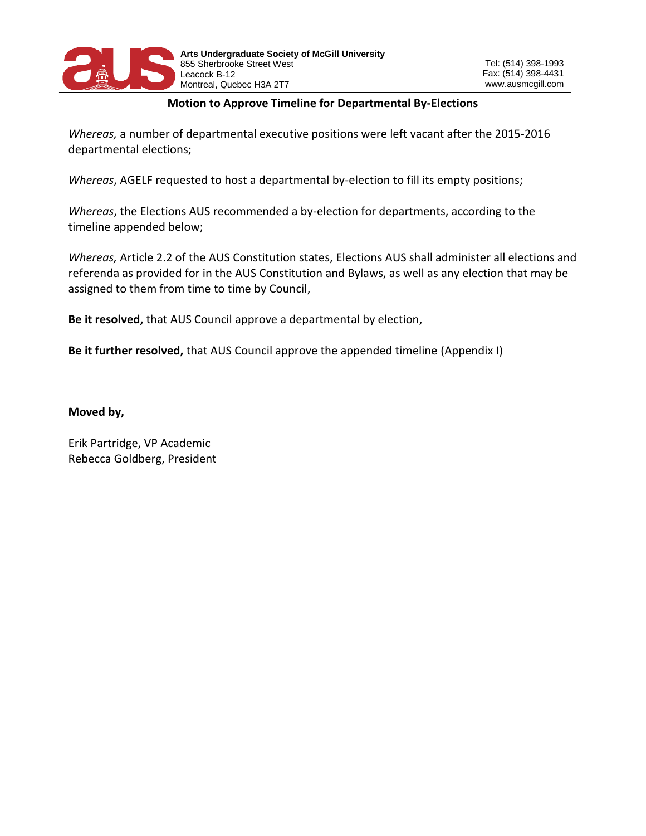

## **Motion to Approve Timeline for Departmental By-Elections**

*Whereas,* a number of departmental executive positions were left vacant after the 2015-2016 departmental elections;

*Whereas*, AGELF requested to host a departmental by-election to fill its empty positions;

*Whereas*, the Elections AUS recommended a by-election for departments, according to the timeline appended below;

*Whereas,* Article 2.2 of the AUS Constitution states, Elections AUS shall administer all elections and referenda as provided for in the AUS Constitution and Bylaws, as well as any election that may be assigned to them from time to time by Council,

**Be it resolved,** that AUS Council approve a departmental by election,

**Be it further resolved,** that AUS Council approve the appended timeline (Appendix I)

**Moved by,** 

Erik Partridge, VP Academic Rebecca Goldberg, President